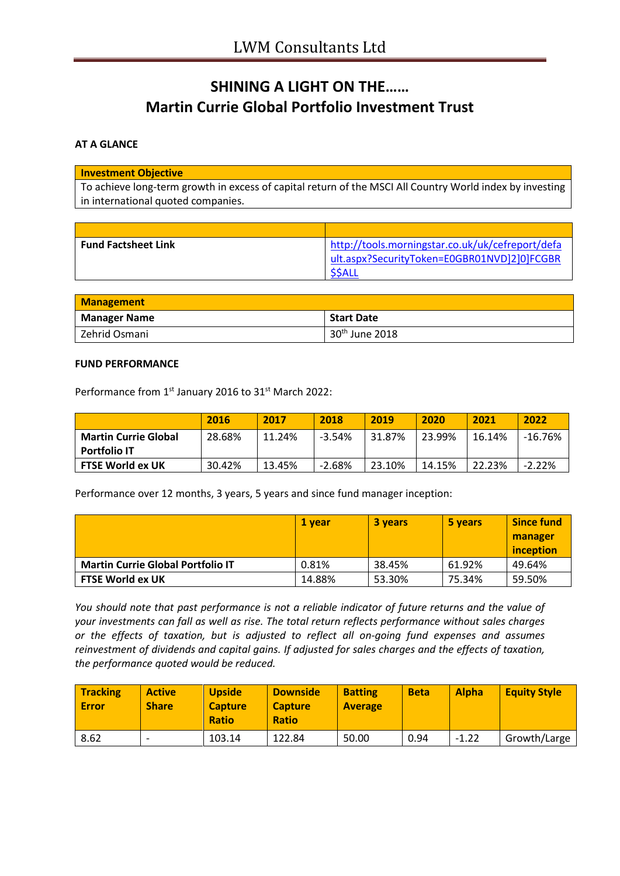# **SHINING A LIGHT ON THE…… Martin Currie Global Portfolio Investment Trust**

## **AT A GLANCE**

#### **Investment Objective**

To achieve long-term growth in excess of capital return of the MSCI All Country World index by investing in international quoted companies.

| <b>Fund Factsheet Link</b> | http://tools.morningstar.co.uk/uk/cefreport/defa |
|----------------------------|--------------------------------------------------|
|                            | ult.aspx?SecurityToken=E0GBR01NVD]2]0]FCGBR      |
|                            | \$\$ALL                                          |

| <b>Management</b>   |                   |  |
|---------------------|-------------------|--|
| <b>Manager Name</b> | <b>Start Date</b> |  |
| Zehrid Osmani       | $30th$ June 2018  |  |

#### **FUND PERFORMANCE**

Performance from 1<sup>st</sup> January 2016 to 31<sup>st</sup> March 2022:

|                                                    | 2016   | 2017   | 2018     | 2019   | 2020   | 2021   | 2022      |
|----------------------------------------------------|--------|--------|----------|--------|--------|--------|-----------|
| <b>Martin Currie Global</b><br><b>Portfolio IT</b> | 28.68% | 11.24% | $-3.54%$ | 31.87% | 23.99% | 16.14% | $-16.76%$ |
|                                                    |        |        |          |        |        |        |           |
| <b>FTSE World ex UK</b>                            | 30.42% | 13.45% | $-2.68%$ | 23.10% | 14.15% | 22.23% | $-2.22%$  |

Performance over 12 months, 3 years, 5 years and since fund manager inception:

|                                          | 1 vear | <b>3 years</b> | 5 years | <b>Since fund</b> |
|------------------------------------------|--------|----------------|---------|-------------------|
|                                          |        |                |         | manager           |
|                                          |        |                |         | inception         |
| <b>Martin Currie Global Portfolio IT</b> | 0.81%  | 38.45%         | 61.92%  | 49.64%            |
| <b>FTSE World ex UK</b>                  | 14.88% | 53.30%         | 75.34%  | 59.50%            |

*You should note that past performance is not a reliable indicator of future returns and the value of your investments can fall as well as rise. The total return reflects performance without sales charges or the effects of taxation, but is adjusted to reflect all on-going fund expenses and assumes reinvestment of dividends and capital gains. If adjusted for sales charges and the effects of taxation, the performance quoted would be reduced.*

| <b>Tracking</b><br><b>Error</b> | <b>Active</b><br><b>Share</b> | <b>Upside</b><br><b>Capture</b><br><b>Ratio</b> | <b>Downside</b><br><b>Capture</b><br><b>Ratio</b> | <b>Batting</b><br><b>Average</b> | <b>Beta</b> | <b>Alpha</b> | <b>Equity Style</b> |
|---------------------------------|-------------------------------|-------------------------------------------------|---------------------------------------------------|----------------------------------|-------------|--------------|---------------------|
| 8.62                            | $\overline{\phantom{0}}$      | 103.14                                          | 122.84                                            | 50.00                            | 0.94        | $-1.22$      | Growth/Large        |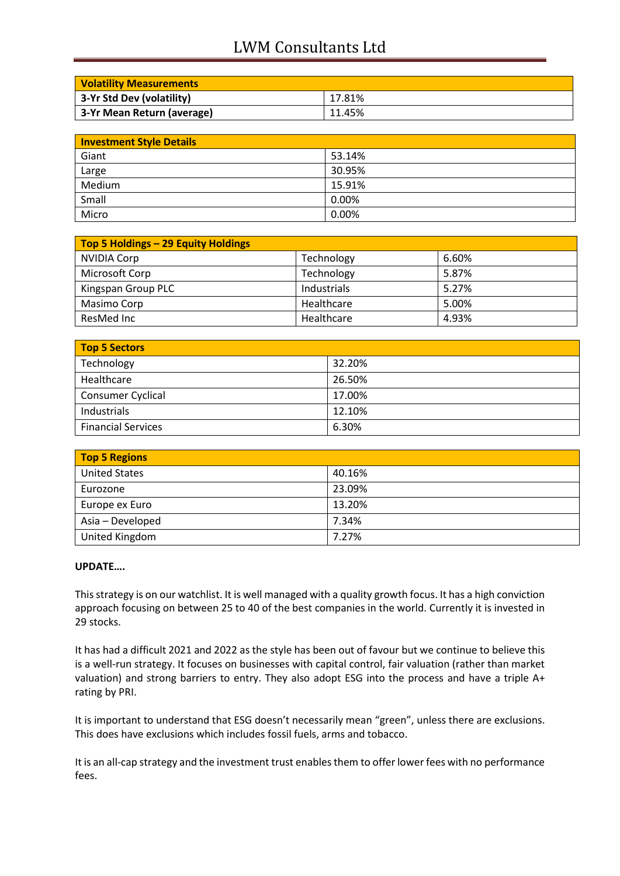## LWM Consultants Ltd

| <b>Volatility Measurements</b> |        |
|--------------------------------|--------|
| 3-Yr Std Dev (volatility)      | 17.81% |
| 3-Yr Mean Return (average)     | 11.45% |

| <b>Investment Style Details</b> |        |  |
|---------------------------------|--------|--|
| Giant                           | 53.14% |  |
| Large                           | 30.95% |  |
| Medium                          | 15.91% |  |
| Small                           | 0.00%  |  |
| Micro                           | 0.00%  |  |

| Top 5 Holdings - 29 Equity Holdings |             |       |  |
|-------------------------------------|-------------|-------|--|
| NVIDIA Corp                         | Technology  | 6.60% |  |
| Microsoft Corp                      | Technology  | 5.87% |  |
| Kingspan Group PLC                  | Industrials | 5.27% |  |
| Masimo Corp                         | Healthcare  | 5.00% |  |
| ResMed Inc                          | Healthcare  | 4.93% |  |

| <b>Top 5 Sectors</b>      |        |  |
|---------------------------|--------|--|
| Technology                | 32.20% |  |
| Healthcare                | 26.50% |  |
| Consumer Cyclical         | 17.00% |  |
| Industrials               | 12.10% |  |
| <b>Financial Services</b> | 6.30%  |  |

| <b>Top 5 Regions</b> |        |  |
|----------------------|--------|--|
| <b>United States</b> | 40.16% |  |
| Eurozone             | 23.09% |  |
| Europe ex Euro       | 13.20% |  |
| Asia - Developed     | 7.34%  |  |
| United Kingdom       | 7.27%  |  |

### **UPDATE….**

This strategy is on our watchlist. It is well managed with a quality growth focus. It has a high conviction approach focusing on between 25 to 40 of the best companies in the world. Currently it is invested in 29 stocks.

It has had a difficult 2021 and 2022 as the style has been out of favour but we continue to believe this is a well-run strategy. It focuses on businesses with capital control, fair valuation (rather than market valuation) and strong barriers to entry. They also adopt ESG into the process and have a triple A+ rating by PRI.

It is important to understand that ESG doesn't necessarily mean "green", unless there are exclusions. This does have exclusions which includes fossil fuels, arms and tobacco.

It is an all-cap strategy and the investment trust enables them to offer lower fees with no performance fees.